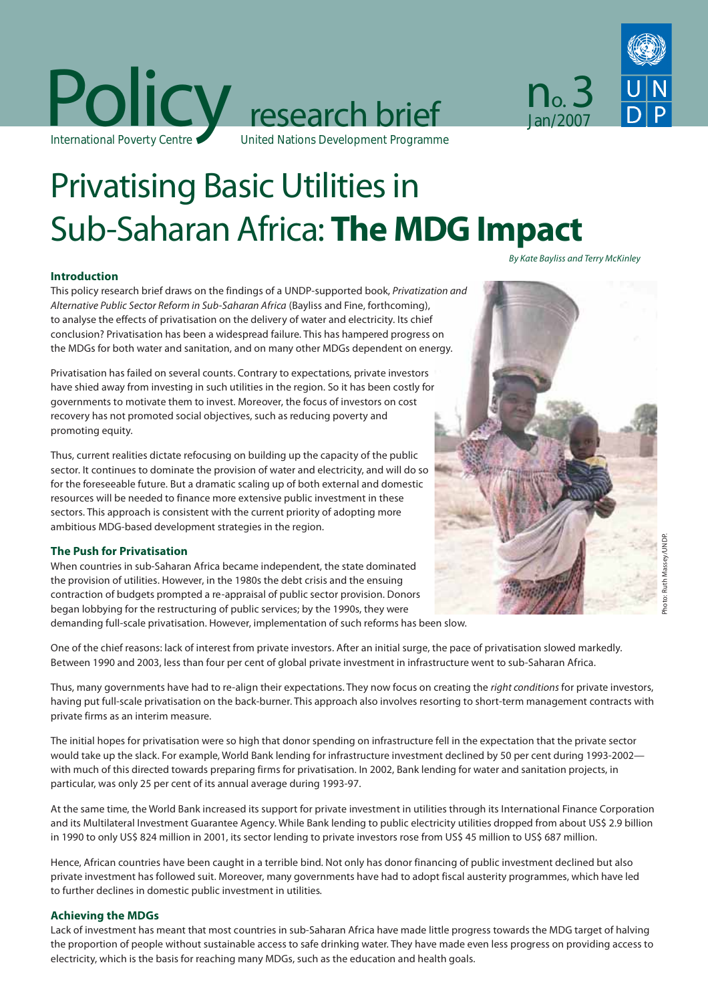

# Privatising Basic Utilities in Sub-Saharan Africa: The MDG Impact

# **Introduction**

This policy research brief draws on the findings of a UNDP-supported book, Privatization and Alternative Public Sector Reform in Sub-Saharan Africa (Bayliss and Fine, forthcoming), to analyse the effects of privatisation on the delivery of water and electricity. Its chief conclusion? Privatisation has been a widespread failure. This has hampered progress on the MDGs for both water and sanitation, and on many other MDGs dependent on energy.

Privatisation has failed on several counts. Contrary to expectations, private investors have shied away from investing in such utilities in the region. So it has been costly for governments to motivate them to invest. Moreover, the focus of investors on cost recovery has not promoted social objectives, such as reducing poverty and promoting equity.

Thus, current realities dictate refocusing on building up the capacity of the public sector. It continues to dominate the provision of water and electricity, and will do so for the foreseeable future. But a dramatic scaling up of both external and domestic resources will be needed to finance more extensive public investment in these sectors. This approach is consistent with the current priority of adopting more ambitious MDG-based development strategies in the region.

# **The Push for Privatisation**

When countries in sub-Saharan Africa became independent, the state dominated the provision of utilities. However, in the 1980s the debt crisis and the ensuing contraction of budgets prompted a re-appraisal of public sector provision. Donors began lobbying for the restructuring of public services; by the 1990s, they were demanding full-scale privatisation. However, implementation of such reforms has been slow.

One of the chief reasons: lack of interest from private investors. After an initial surge, the pace of privatisation slowed markedly. Between 1990 and 2003, less than four per cent of global private investment in infrastructure went to sub-Saharan Africa.

Thus, many governments have had to re-align their expectations. They now focus on creating the right conditions for private investors, having put full-scale privatisation on the back-burner. This approach also involves resorting to short-term management contracts with private firms as an interim measure.

The initial hopes for privatisation were so high that donor spending on infrastructure fell in the expectation that the private sector would take up the slack. For example, World Bank lending for infrastructure investment declined by 50 per cent during 1993-2002 with much of this directed towards preparing firms for privatisation. In 2002, Bank lending for water and sanitation projects, in particular, was only 25 per cent of its annual average during 1993-97.

At the same time, the World Bank increased its support for private investment in utilities through its International Finance Corporation and its Multilateral Investment Guarantee Agency. While Bank lending to public electricity utilities dropped from about US\$ 2.9 billion in 1990 to only US\$ 824 million in 2001, its sector lending to private investors rose from US\$ 45 million to US\$ 687 million.

Hence, African countries have been caught in a terrible bind. Not only has donor financing of public investment declined but also private investment has followed suit. Moreover, many governments have had to adopt fiscal austerity programmes, which have led to further declines in domestic public investment in utilities.

# **Achieving the MDGs**

Lack of investment has meant that most countries in sub-Saharan Africa have made little progress towards the MDG target of halving the proportion of people without sustainable access to safe drinking water. They have made even less progress on providing access to electricity, which is the basis for reaching many MDGs, such as the education and health goals.



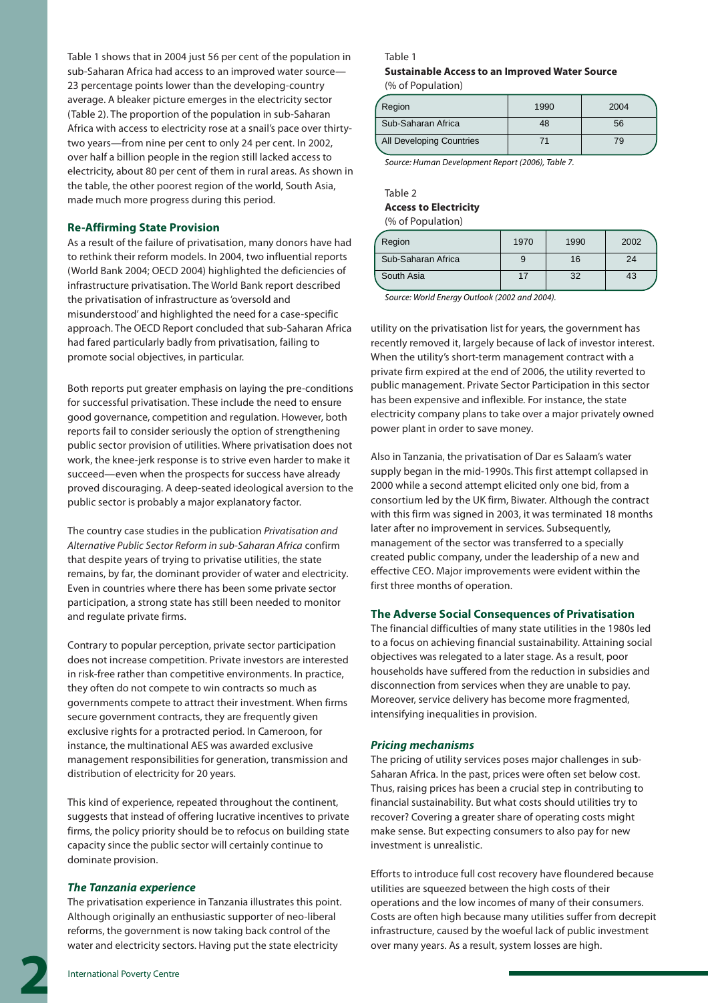Table 1 shows that in 2004 just 56 per cent of the population in sub-Saharan Africa had access to an improved water source— 23 percentage points lower than the developing-country average. A bleaker picture emerges in the electricity sector (Table 2). The proportion of the population in sub-Saharan Africa with access to electricity rose at a snail's pace over thirtytwo years—from nine per cent to only 24 per cent. In 2002, over half a billion people in the region still lacked access to electricity, about 80 per cent of them in rural areas. As shown in the table, the other poorest region of the world, South Asia, made much more progress during this period.

# **Re-Affirming State Provision**

As a result of the failure of privatisation, many donors have had to rethink their reform models. In 2004, two influential reports (World Bank 2004; OECD 2004) highlighted the deficiencies of infrastructure privatisation. The World Bank report described the privatisation of infrastructure as 'oversold and misunderstood' and highlighted the need for a case-specific approach. The OECD Report concluded that sub-Saharan Africa had fared particularly badly from privatisation, failing to promote social objectives, in particular.

Both reports put greater emphasis on laying the pre-conditions for successful privatisation. These include the need to ensure good governance, competition and regulation. However, both reports fail to consider seriously the option of strengthening public sector provision of utilities. Where privatisation does not work, the knee-jerk response is to strive even harder to make it succeed—even when the prospects for success have already proved discouraging. A deep-seated ideological aversion to the public sector is probably a major explanatory factor.

The country case studies in the publication Privatisation and Alternative Public Sector Reform in sub-Saharan Africa confirm that despite years of trying to privatise utilities, the state remains, by far, the dominant provider of water and electricity. Even in countries where there has been some private sector participation, a strong state has still been needed to monitor and regulate private firms.

Contrary to popular perception, private sector participation does not increase competition. Private investors are interested in risk-free rather than competitive environments. In practice, they often do not compete to win contracts so much as governments compete to attract their investment. When firms secure government contracts, they are frequently given exclusive rights for a protracted period. In Cameroon, for instance, the multinational AES was awarded exclusive management responsibilities for generation, transmission and distribution of electricity for 20 years.

This kind of experience, repeated throughout the continent, suggests that instead of offering lucrative incentives to private firms, the policy priority should be to refocus on building state capacity since the public sector will certainly continue to dominate provision.

#### *The Tanzania experience*

The privatisation experience in Tanzania illustrates this point. Although originally an enthusiastic supporter of neo-liberal reforms, the government is now taking back control of the water and electricity sectors. Having put the state electricity

# Table 1

# **Sustainable Access to an Improved Water Source** (% of Population)

| Region                   | 1990 | 2004 |
|--------------------------|------|------|
| Sub-Saharan Africa       | 48   | 56   |
| All Developing Countries | 71   | 79   |

Source: Human Development Report (2006), Table 7.

# Table 2 **Access to Electricity**  $(% of Panulation)$

| % of Population) |  |
|------------------|--|
|------------------|--|

| Region             | 1970 | 1990 | 2002 |
|--------------------|------|------|------|
| Sub-Saharan Africa |      | 16   | 24   |
| South Asia         |      | つ    | 43   |

Source: World Energy Outlook (2002 and 2004).

utility on the privatisation list for years, the government has recently removed it, largely because of lack of investor interest. When the utility's short-term management contract with a private firm expired at the end of 2006, the utility reverted to public management. Private Sector Participation in this sector has been expensive and inflexible. For instance, the state electricity company plans to take over a major privately owned power plant in order to save money.

Also in Tanzania, the privatisation of Dar es Salaam's water supply began in the mid-1990s. This first attempt collapsed in 2000 while a second attempt elicited only one bid, from a consortium led by the UK firm, Biwater. Although the contract with this firm was signed in 2003, it was terminated 18 months later after no improvement in services. Subsequently, management of the sector was transferred to a specially created public company, under the leadership of a new and effective CEO. Major improvements were evident within the first three months of operation.

#### **The Adverse Social Consequences of Privatisation**

The financial difficulties of many state utilities in the 1980s led to a focus on achieving financial sustainability. Attaining social objectives was relegated to a later stage. As a result, poor households have suffered from the reduction in subsidies and disconnection from services when they are unable to pay. Moreover, service delivery has become more fragmented, intensifying inequalities in provision.

# *Pricing mechanisms*

The pricing of utility services poses major challenges in sub-Saharan Africa. In the past, prices were often set below cost. Thus, raising prices has been a crucial step in contributing to financial sustainability. But what costs should utilities try to recover? Covering a greater share of operating costs might make sense. But expecting consumers to also pay for new investment is unrealistic.

Efforts to introduce full cost recovery have floundered because utilities are squeezed between the high costs of their operations and the low incomes of many of their consumers. Costs are often high because many utilities suffer from decrepit infrastructure, caused by the woeful lack of public investment over many years. As a result, system losses are high.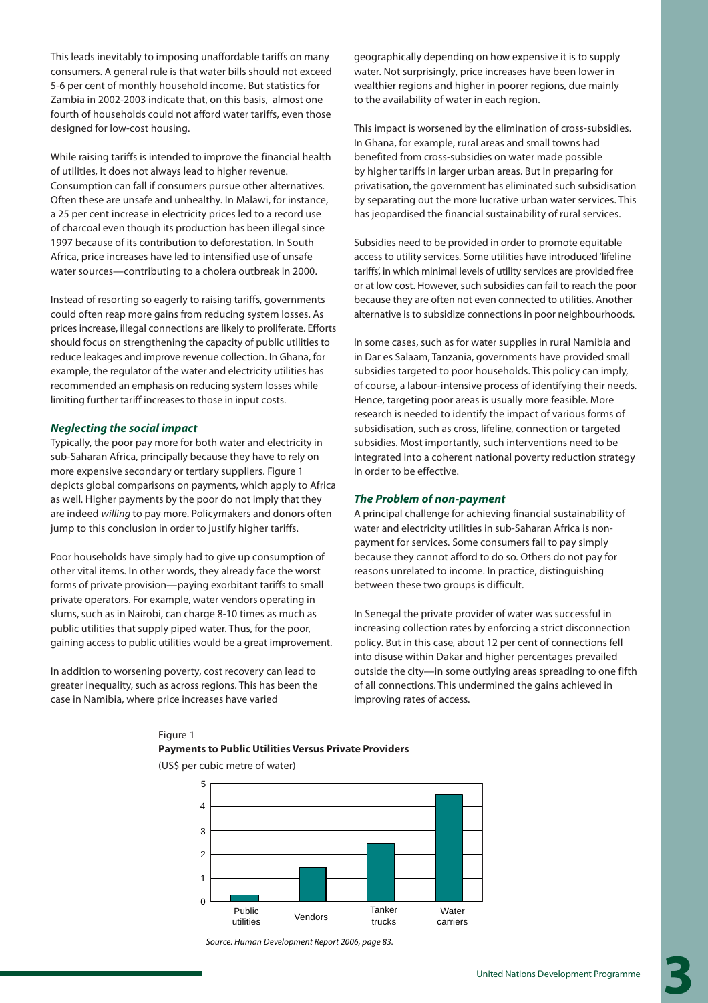This leads inevitably to imposing unaffordable tariffs on many consumers. A general rule is that water bills should not exceed 5-6 per cent of monthly household income. But statistics for Zambia in 2002-2003 indicate that, on this basis, almost one fourth of households could not afford water tariffs, even those designed for low-cost housing.

While raising tariffs is intended to improve the financial health of utilities, it does not always lead to higher revenue. Consumption can fall if consumers pursue other alternatives. Often these are unsafe and unhealthy. In Malawi, for instance, a 25 per cent increase in electricity prices led to a record use of charcoal even though its production has been illegal since 1997 because of its contribution to deforestation. In South Africa, price increases have led to intensified use of unsafe water sources—contributing to a cholera outbreak in 2000.

Instead of resorting so eagerly to raising tariffs, governments could often reap more gains from reducing system losses. As prices increase, illegal connections are likely to proliferate. Efforts should focus on strengthening the capacity of public utilities to reduce leakages and improve revenue collection. In Ghana, for example, the regulator of the water and electricity utilities has recommended an emphasis on reducing system losses while limiting further tariff increases to those in input costs.

# *Neglecting the social impact*

Typically, the poor pay more for both water and electricity in sub-Saharan Africa, principally because they have to rely on more expensive secondary or tertiary suppliers. Figure 1 depicts global comparisons on payments, which apply to Africa as well. Higher payments by the poor do not imply that they are indeed willing to pay more. Policymakers and donors often jump to this conclusion in order to justify higher tariffs.

Poor households have simply had to give up consumption of other vital items. In other words, they already face the worst forms of private provision—paying exorbitant tariffs to small private operators. For example, water vendors operating in slums, such as in Nairobi, can charge 8-10 times as much as public utilities that supply piped water. Thus, for the poor, gaining access to public utilities would be a great improvement.

In addition to worsening poverty, cost recovery can lead to greater inequality, such as across regions. This has been the case in Namibia, where price increases have varied

geographically depending on how expensive it is to supply water. Not surprisingly, price increases have been lower in wealthier regions and higher in poorer regions, due mainly to the availability of water in each region.

This impact is worsened by the elimination of cross-subsidies. In Ghana, for example, rural areas and small towns had benefited from cross-subsidies on water made possible by higher tariffs in larger urban areas. But in preparing for privatisation, the government has eliminated such subsidisation by separating out the more lucrative urban water services. This has jeopardised the financial sustainability of rural services.

Subsidies need to be provided in order to promote equitable access to utility services. Some utilities have introduced 'lifeline tariffs', in which minimal levels of utility services are provided free or at low cost. However, such subsidies can fail to reach the poor because they are often not even connected to utilities. Another alternative is to subsidize connections in poor neighbourhoods.

In some cases, such as for water supplies in rural Namibia and in Dar es Salaam, Tanzania, governments have provided small subsidies targeted to poor households. This policy can imply, of course, a labour-intensive process of identifying their needs. Hence, targeting poor areas is usually more feasible. More research is needed to identify the impact of various forms of subsidisation, such as cross, lifeline, connection or targeted subsidies. Most importantly, such interventions need to be integrated into a coherent national poverty reduction strategy in order to be effective.

# *The Problem of non-payment*

A principal challenge for achieving financial sustainability of water and electricity utilities in sub-Saharan Africa is nonpayment for services. Some consumers fail to pay simply because they cannot afford to do so. Others do not pay for reasons unrelated to income. In practice, distinguishing between these two groups is difficult.

In Senegal the private provider of water was successful in increasing collection rates by enforcing a strict disconnection policy. But in this case, about 12 per cent of connections fell into disuse within Dakar and higher percentages prevailed outside the city—in some outlying areas spreading to one fifth of all connections. This undermined the gains achieved in improving rates of access.

# Figure 1 **Payments to Public Utilities Versus Private Providers**



(US\$ per cubic metre of water)

Source: Human Development Report 2006, page 83.